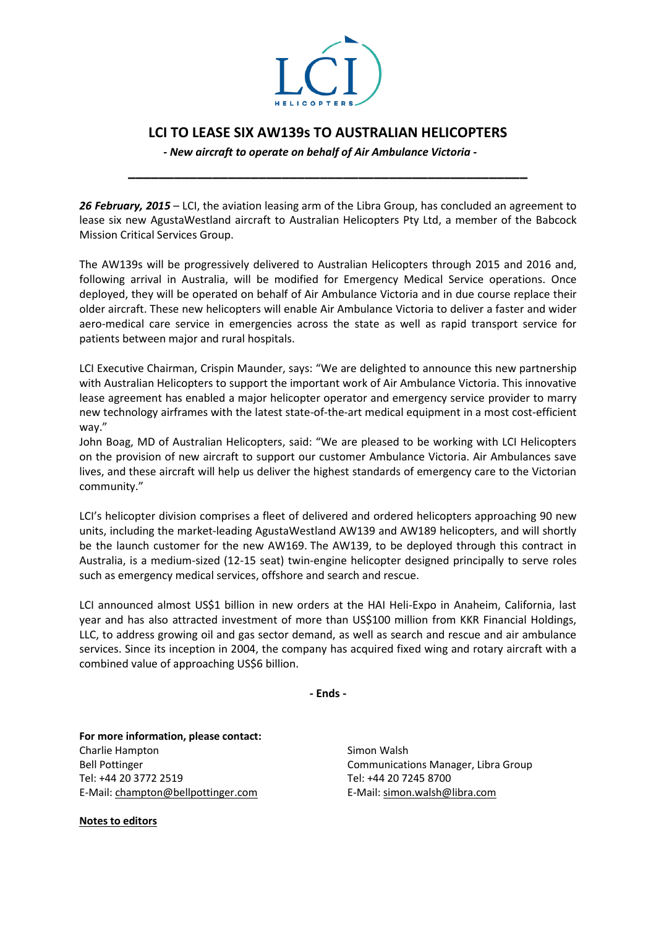

## **LCI TO LEASE SIX AW139s TO AUSTRALIAN HELICOPTERS**

**\_\_\_\_\_\_\_\_\_\_\_\_\_\_\_\_\_\_\_\_\_\_\_\_\_\_\_\_\_\_\_\_\_\_\_\_\_\_\_\_\_\_\_\_\_\_\_\_\_\_\_\_**

**-** *New aircraft to operate on behalf of Air Ambulance Victoria* **-**

*26 February, 2015* – LCI, the aviation leasing arm of the Libra Group, has concluded an agreement to lease six new AgustaWestland aircraft to Australian Helicopters Pty Ltd, a member of the Babcock Mission Critical Services Group.

The AW139s will be progressively delivered to Australian Helicopters through 2015 and 2016 and, following arrival in Australia, will be modified for Emergency Medical Service operations. Once deployed, they will be operated on behalf of Air Ambulance Victoria and in due course replace their older aircraft. These new helicopters will enable Air Ambulance Victoria to deliver a faster and wider aero-medical care service in emergencies across the state as well as rapid transport service for patients between major and rural hospitals.

LCI Executive Chairman, Crispin Maunder, says: "We are delighted to announce this new partnership with Australian Helicopters to support the important work of Air Ambulance Victoria. This innovative lease agreement has enabled a major helicopter operator and emergency service provider to marry new technology airframes with the latest state-of-the-art medical equipment in a most cost-efficient way."

John Boag, MD of Australian Helicopters, said: "We are pleased to be working with LCI Helicopters on the provision of new aircraft to support our customer Ambulance Victoria. Air Ambulances save lives, and these aircraft will help us deliver the highest standards of emergency care to the Victorian community."

LCI's helicopter division comprises a fleet of delivered and ordered helicopters approaching 90 new units, including the market-leading AgustaWestland AW139 and AW189 helicopters, and will shortly be the launch customer for the new AW169. The AW139, to be deployed through this contract in Australia, is a medium-sized (12-15 seat) twin-engine helicopter designed principally to serve roles such as emergency medical services, offshore and search and rescue.

LCI announced almost US\$1 billion in new orders at the HAI Heli-Expo in Anaheim, California, last year and has also attracted investment of more than US\$100 million from KKR Financial Holdings, LLC, to address growing oil and gas sector demand, as well as search and rescue and air ambulance services. Since its inception in 2004, the company has acquired fixed wing and rotary aircraft with a combined value of approaching US\$6 billion.

**- Ends -**

**For more information, please contact:** Charlie Hampton Bell Pottinger Tel: +44 20 3772 2519 E-Mail[: champton@bellpottinger.com](mailto:champton@bellpottinger.com)

**Notes to editors**

Simon Walsh Communications Manager, Libra Group Tel: +44 20 7245 8700 E-Mail[: simon.walsh@libra.com](mailto:gareth.zundel@libra.com)